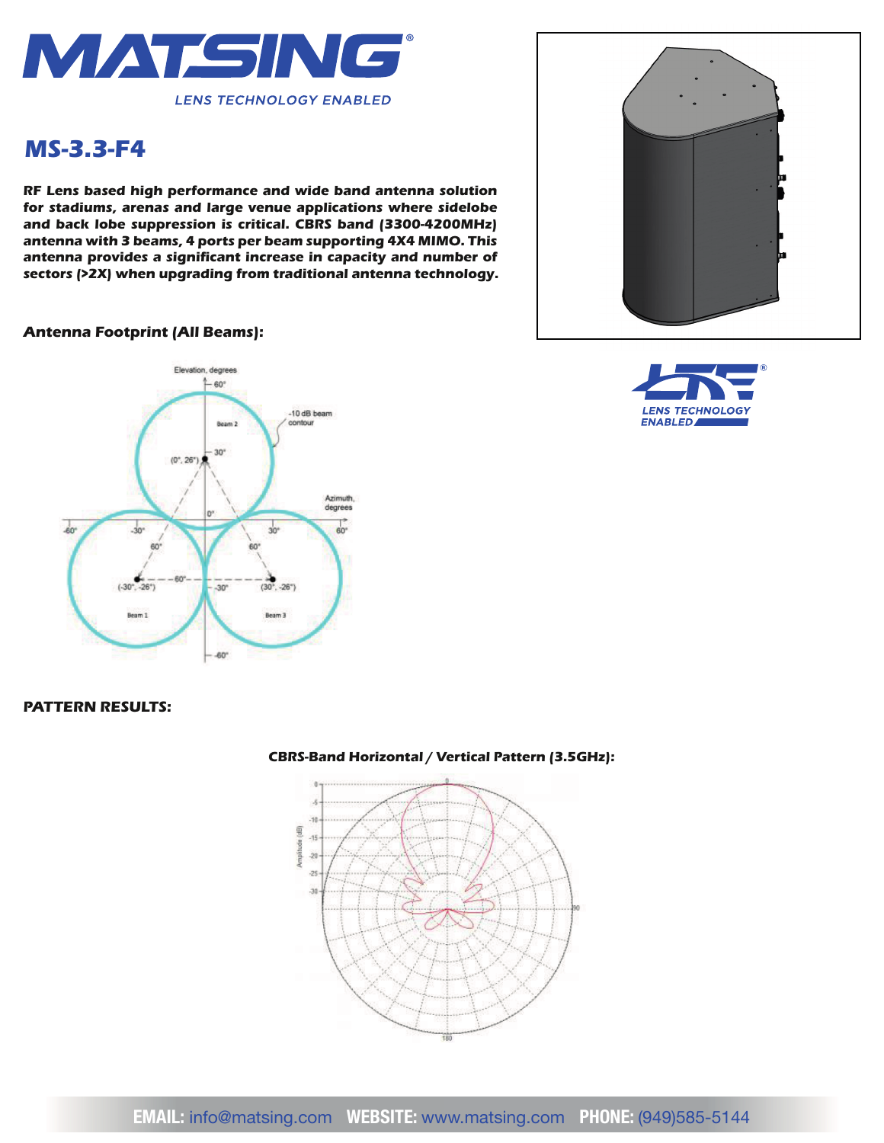

# *MS-3.3-F4*

*RF Lens based high performance and wide band antenna solution for stadiums, arenas and large venue applications where sidelobe and back lobe suppression is critical. CBRS band (3300-4200MHz) antenna with 3 beams, 4 ports per beam supporting 4X4 MIMO. This*  antenna provides a significant increase in capacity and number of *sectors (>2X) when upgrading from traditional antenna technology.*

#### *Antenna Footprint (All Beams):*





### *PATTERN RESULTS:*



#### *CBRS-Band Horizontal / Vertical Pattern (3.5GHz):*